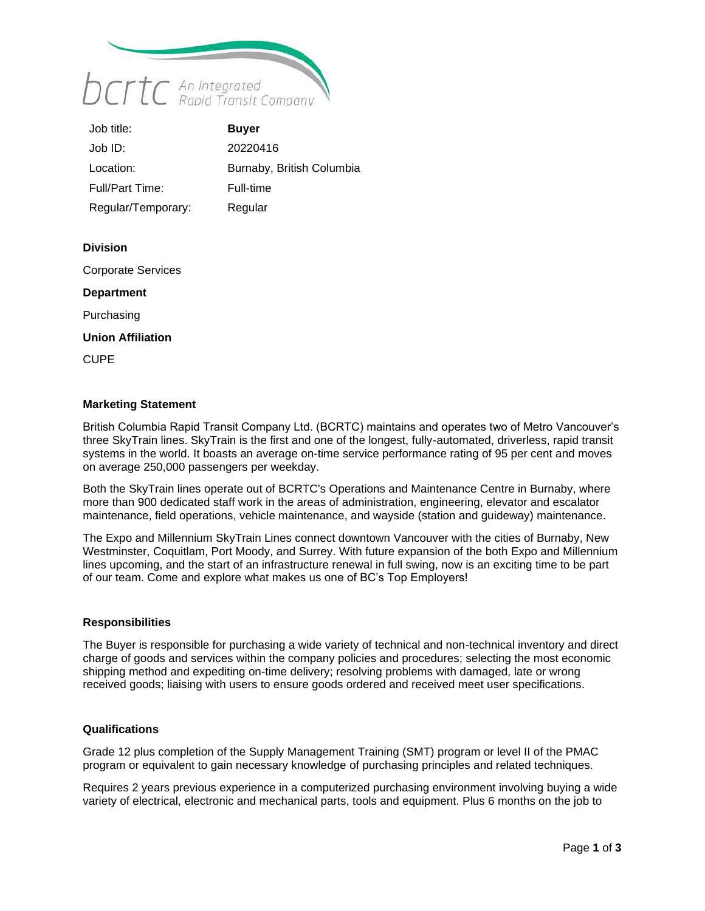

| Job title:             | <b>Buyer</b>              |
|------------------------|---------------------------|
| Job ID:                | 20220416                  |
| Location:              | Burnaby, British Columbia |
| <b>Full/Part Time:</b> | Full-time                 |
| Regular/Temporary:     | Regular                   |

# **Division**

Corporate Services

**Department**

Purchasing

**Union Affiliation**

CUPE

## **Marketing Statement**

British Columbia Rapid Transit Company Ltd. (BCRTC) maintains and operates two of Metro Vancouver's three SkyTrain lines. SkyTrain is the first and one of the longest, fully-automated, driverless, rapid transit systems in the world. It boasts an average on-time service performance rating of 95 per cent and moves on average 250,000 passengers per weekday.

Both the SkyTrain lines operate out of BCRTC's Operations and Maintenance Centre in Burnaby, where more than 900 dedicated staff work in the areas of administration, engineering, elevator and escalator maintenance, field operations, vehicle maintenance, and wayside (station and guideway) maintenance.

The Expo and Millennium SkyTrain Lines connect downtown Vancouver with the cities of Burnaby, New Westminster, Coquitlam, Port Moody, and Surrey. With future expansion of the both Expo and Millennium lines upcoming, and the start of an infrastructure renewal in full swing, now is an exciting time to be part of our team. Come and explore what makes us one of BC's Top Employers!

## **Responsibilities**

The Buyer is responsible for purchasing a wide variety of technical and non-technical inventory and direct charge of goods and services within the company policies and procedures; selecting the most economic shipping method and expediting on-time delivery; resolving problems with damaged, late or wrong received goods; liaising with users to ensure goods ordered and received meet user specifications.

## **Qualifications**

Grade 12 plus completion of the Supply Management Training (SMT) program or level II of the PMAC program or equivalent to gain necessary knowledge of purchasing principles and related techniques.

Requires 2 years previous experience in a computerized purchasing environment involving buying a wide variety of electrical, electronic and mechanical parts, tools and equipment. Plus 6 months on the job to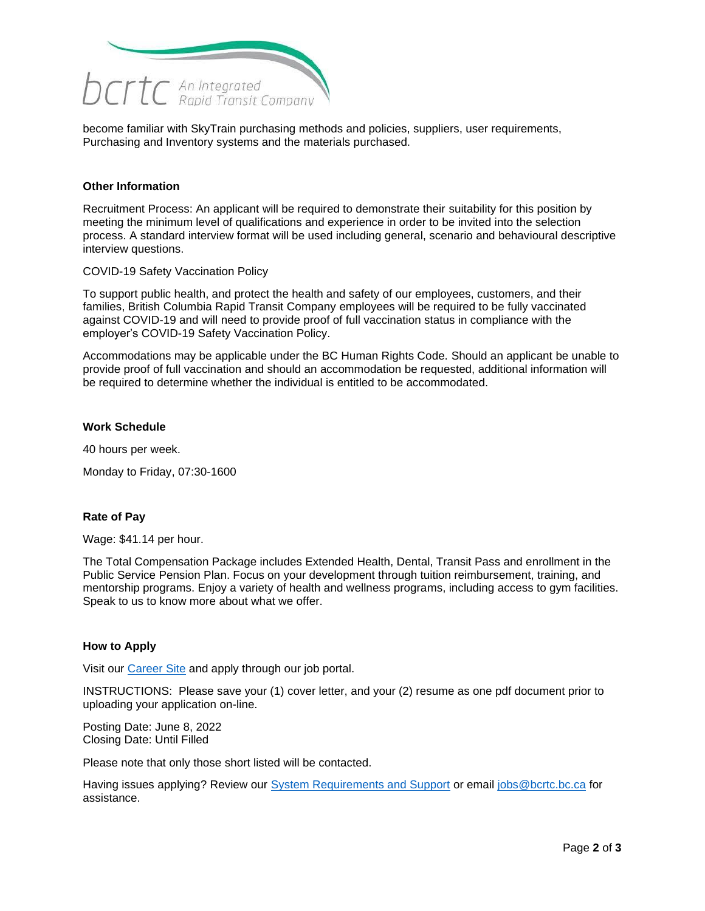

become familiar with SkyTrain purchasing methods and policies, suppliers, user requirements, Purchasing and Inventory systems and the materials purchased.

# **Other Information**

Recruitment Process: An applicant will be required to demonstrate their suitability for this position by meeting the minimum level of qualifications and experience in order to be invited into the selection process. A standard interview format will be used including general, scenario and behavioural descriptive interview questions.

COVID-19 Safety Vaccination Policy

To support public health, and protect the health and safety of our employees, customers, and their families, British Columbia Rapid Transit Company employees will be required to be fully vaccinated against COVID-19 and will need to provide proof of full vaccination status in compliance with the employer's COVID-19 Safety Vaccination Policy.

Accommodations may be applicable under the BC Human Rights Code. Should an applicant be unable to provide proof of full vaccination and should an accommodation be requested, additional information will be required to determine whether the individual is entitled to be accommodated.

## **Work Schedule**

40 hours per week.

Monday to Friday, 07:30-1600

## **Rate of Pay**

Wage: \$41.14 per hour.

The Total Compensation Package includes Extended Health, Dental, Transit Pass and enrollment in the Public Service Pension Plan. Focus on your development through tuition reimbursement, training, and mentorship programs. Enjoy a variety of health and wellness programs, including access to gym facilities. Speak to us to know more about what we offer.

## **How to Apply**

Visit our [Career Site](https://www.translink.ca/about-us/careers) and apply through our job portal.

INSTRUCTIONS: Please save your (1) cover letter, and your (2) resume as one pdf document prior to uploading your application on-line.

Posting Date: June 8, 2022 Closing Date: Until Filled

Please note that only those short listed will be contacted.

Having issues applying? Review our [System Requirements and Support](https://www.translink.ca/about-us/careers/system-requirements-and-support) or email [jobs@bcrtc.bc.ca](mailto:jobs@bcrtc.bc.ca) for assistance.